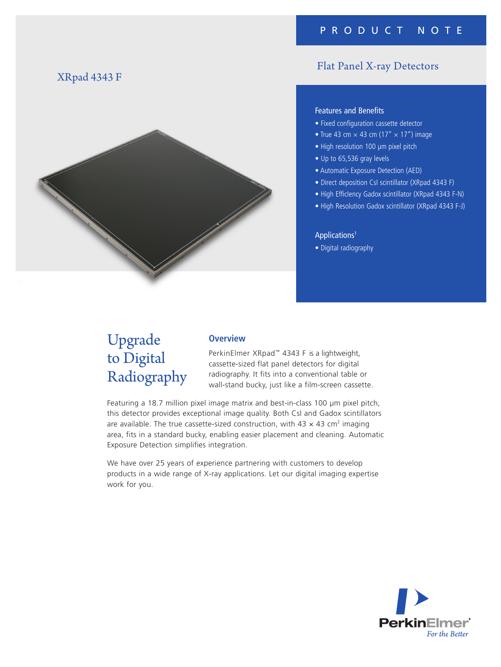### XRpad 4343 F



## Flat Panel X-ray Detectors

### Features and Benefits

- Fixed configuration cassette detector
- True 43 cm  $\times$  43 cm (17"  $\times$  17") image
- High resolution 100 μm pixel pitch
- Up to 65,536 gray levels
- Automatic Exposure Detection (AED)
- Direct deposition CsI scintillator (XRpad 4343 F)
- High EfficIency Gadox scintillator (XRpad 4343 F-N)
- High Resolution Gadox scintillator (XRpad 4343 F-J)

### Applications1

• Digital radiography

# Upgrade to Digital Radiography

### **Overview**

PerkinElmer XRpad™ 4343 F is a lightweight, cassette-sized flat panel detectors for digital radiography. It fits into a conventional table or wall-stand bucky, just like a film-screen cassette.

Featuring a 18.7 million pixel image matrix and best-in-class 100 μm pixel pitch, this detector provides exceptional image quality. Both CsI and Gadox scintillators are available. The true cassette-sized construction, with  $43 \times 43$  cm<sup>2</sup> imaging area, fits in a standard bucky, enabling easier placement and cleaning. Automatic Exposure Detection simplifies integration.

We have over 25 years of experience partnering with customers to develop products in a wide range of X-ray applications. Let our digital imaging expertise work for you.